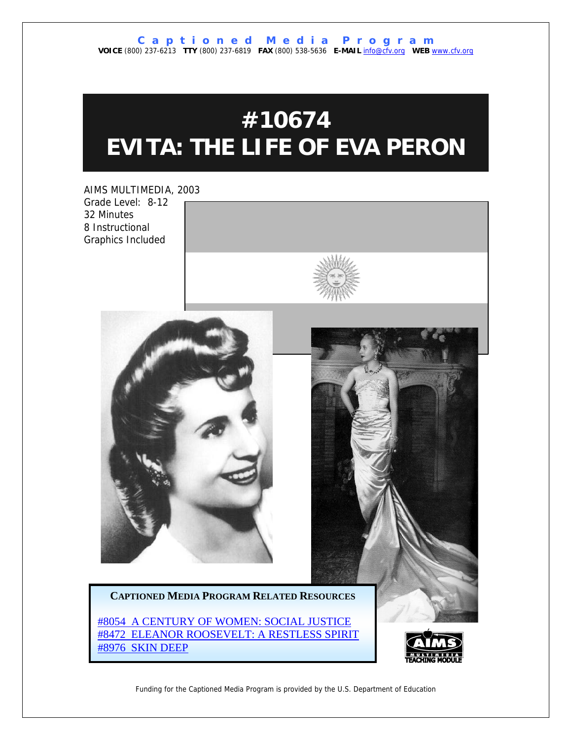# **#10674 EVITA: THE LIFE OF EVA PERON**

AIMS MULTIMEDIA, 2003 Grade Level: 8-12 32 Minutes 8 Instructional Graphics Included







**CAPTIONED MEDIA PROGRAM RELATED RESOURCES**

[#8054 A CENTURY OF WOMEN: SOCIAL JUSTICE](http://www.captionedmedia.org/titledetail.asp?dn=8054) [#8472 ELEANOR ROOSEVELT: A RESTLESS SPIRIT](http://www.captionedmedia.org/titledetail.asp?dn=8472) [#8976 SKIN DEEP](http://www.captionedmedia.org/titledetail.asp?dn=8976)



Funding for the Captioned Media Program is provided by the U.S. Department of Education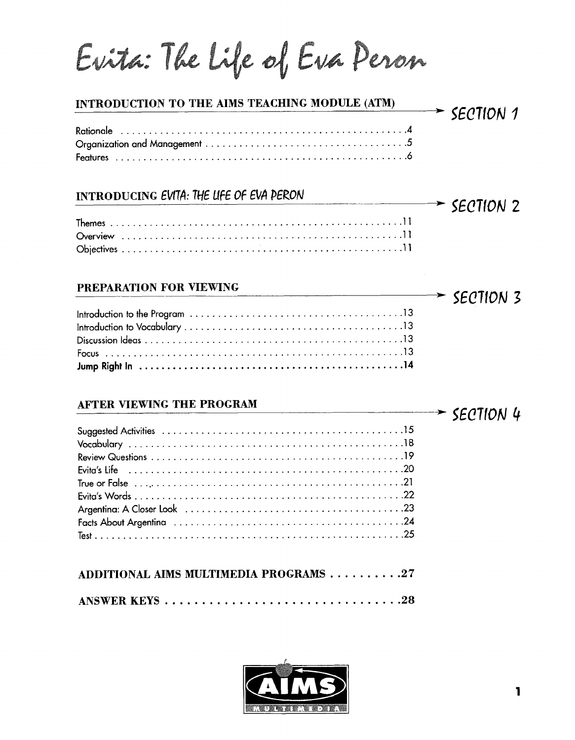Evita: The Life of Eva Peron

# Rationale ................................................... 4 Organization and Management .................................... 5 Features .................................................... 6 INTRODUCING EVITA: THE LIFE OF EVA DERON  $\rightarrow$  SECTION 2 Themes .................................................... 11 Overview .................................................. 11 Objectives .................................................. 11

## **PREPARATION FOR VIEWING**

| <b>AFTER VIEWING THE PROGRAM</b><br>$\overbrace{\phantom{xxxxx}}$ section 4 |  |
|-----------------------------------------------------------------------------|--|
|                                                                             |  |
|                                                                             |  |
|                                                                             |  |
|                                                                             |  |
|                                                                             |  |
|                                                                             |  |

## **AFTER VIEWING THE PROGRAM**

| ADDITIONAL AIMS MULTIMEDIA PROGRAMS 27 |  |
|----------------------------------------|--|
|                                        |  |



 $\rightarrow$  SECTION 3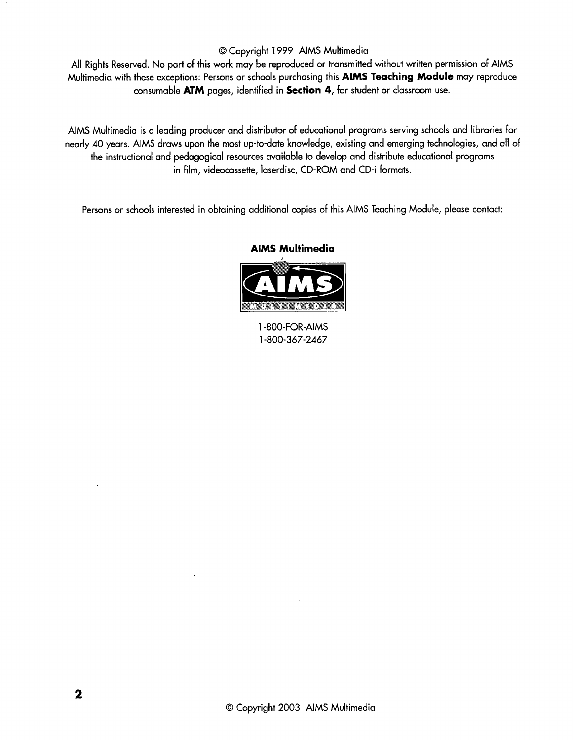### O Copyright 1999 AlMS Multimedia

All Rights Reserved. No part of this work may be reproduced or transmitted without written permission of AlMS Multimedia with these exceptions: Persons or schools purchasing this **AlMS Teaching Module** may reproduce consumable **ATM** pages, identified in **Section 4,** for student or classroom use.

AlMS Multimedia is **a** leading producer and distributor of educational programs serving schools and libraries for nearly 40 years. AIMS draws upon the most up-to-date knowledge, existing and emerging technologies, and all of the instructional and pedagogical resources available to develop and distribute educational programs in film, videocassette, laserdisc, CD-ROM and CD-i formats.

Persons or schools interested in obtaining additional copies of this AlMS Teaching Module, please contact:

#### **AlMS Multimedia**



1-800-FOR-AIMS 1-800-367-2467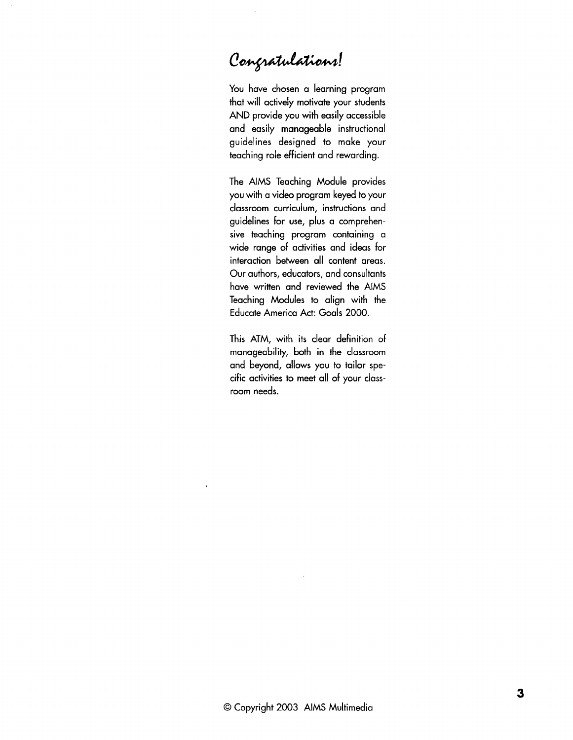# Congratulations!

You have chosen a learning program that will actively motivate your students AND provide you with easily accessible and easily manageable instructional guidelines designed to make your teaching role efficient and rewarding.

The AlMS Teaching Module provides you with a video program keyed to your classroom curriculum, instructions and guidelines for use, plus a comprehensive teaching program containing a wide range of activities and ideas for interaction between all content areas. Our authors, educators, and consultants have written and reviewed the AlMS Teaching Modules **to** align with the Educate America Act: Goals 2000.

This ATM, with its clear definition of manageability, both in the classroom and beyond, allows you to tailor specific activities to meet all of your classroom needs.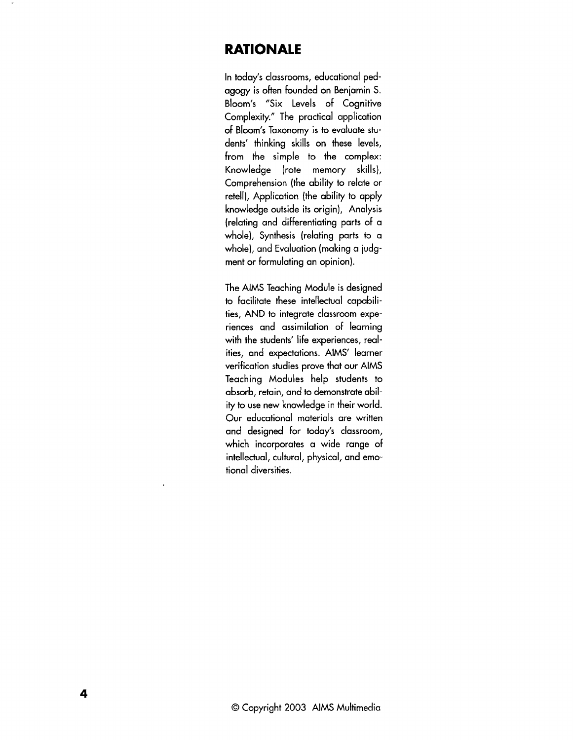## **RATIONALE**

In today's classrooms, educational pedagogy is often founded on Beniamin S. Bloom's "Six Levels of Cognitive Complexity." The practical application of Bloom's Taxonomy is to evaluate students' thinking skills on these levels, from the simple to the complex: Knowledge (rote memory skills), Comprehension (the ability to relate or retell), Application (the ability to apply knowledge outside its origin), Analysis (relating and differentiating parts of a whole), Synthesis (relating parts to a whole), and Evaluation (making a judgment or formulating an opinion).

The AlMS Teaching Module is designed to facilitate these intellectual capabilities, AND to integrate classroom experiences and assimilation of learning with the students' life experiences, realities, and expectations. AIMS' learner verification studies prove that our AlMS Teaching Modules help students to absorb, retain, and to demonstrate ability to use new knowledge in their world. Our educational materials are written and designed for today's classroom, which incorporates a wide range of intellectual, cultural, physical, and emotional diversities.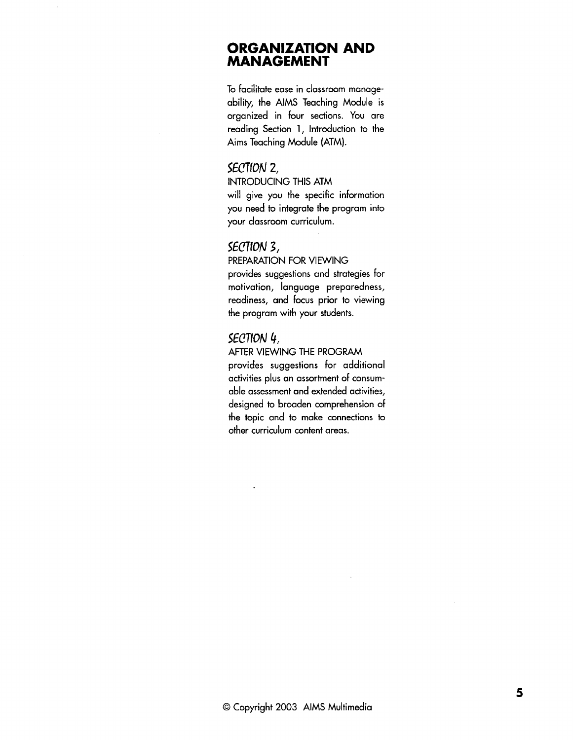## **ORGANIZATION AND MANAGEMENT**

To facilitate ease in classroom manageability, the AlMS Teaching Module is organized in four sections. You are reading Section 1, Introduction to the Aims Teaching Module (ATM).

## SECTION 2,

INTRODUCING THIS ATM will give you the specific information you need to integrate the program into your classroom curriculum.

#### SECTION 3,

PREPARATION FOR VIEWING provides suggestions and strategies for motivation, language preparedness, readiness, and focus prior to viewing the program with your students.

## SEC7ION 4,

#### AFTER VIEWING THE PROGRAM

provides suggestions for additional activities plus an assortment of consumable assessment and extended activities, designed to broaden comprehension of the topic and to make connections to other curriculum content areas.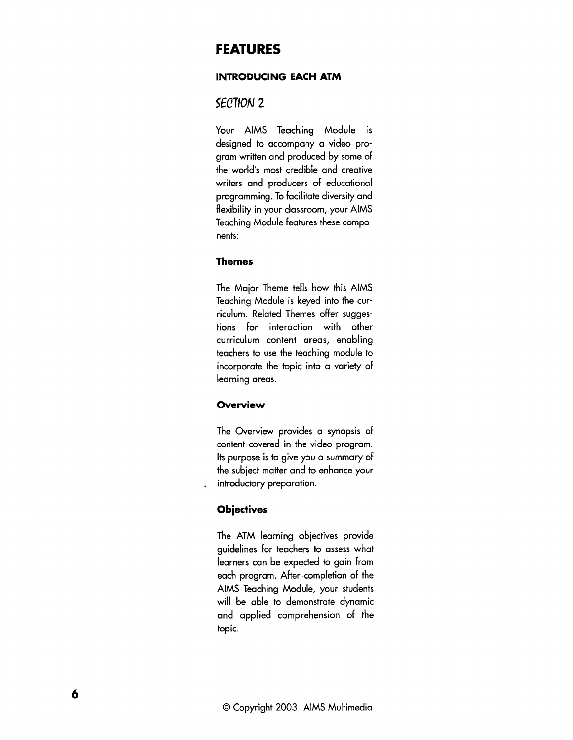## **FEATURES**

#### **INTRODUCING EACH ATM**

## SECTION 2

Your AlMS Teaching Module is designed to accompany a video program written and produced by some of the world's most credible and creative writers and producers of educational programming. To facilitate diversity and flexibility in your classroom, your AlMS Teaching Module features these components:

### **Themes**

The Major Theme tells how this AlMS Teaching Module is keyed into the curriculum. Related Themes offer suggestions for interaction with other curriculum content areas, enabling teachers to use the teaching module to incorporate the topic into a variety of learning areas.

#### **Overview**

The Overview provides a synopsis of content covered in the video program. Its purpose is to give you a summary of the subiect matter and to enhance your introductory preparation.

#### **Objectives**

The ATM learning objectives provide guidelines for teachers to assess what learners can be expected to gain from each program. After-completion of the AlMS Teaching Module, your students will be able to demonstrate dynamic and applied comprehension of the topic.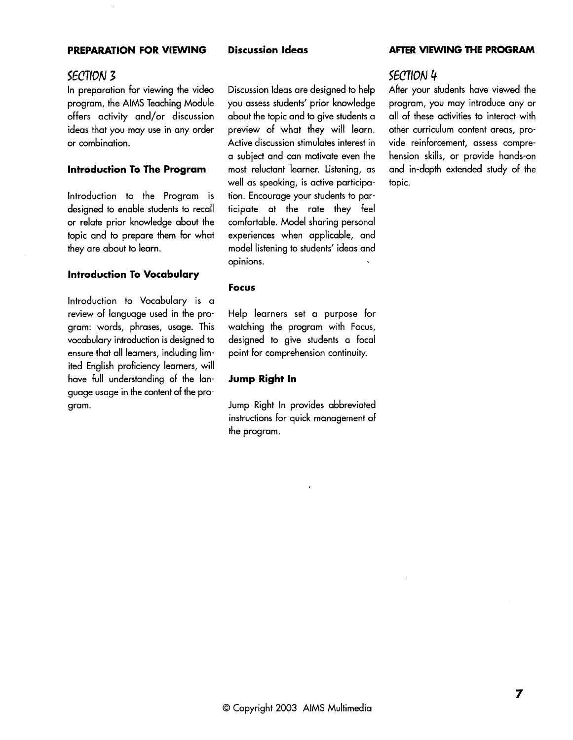#### **PREPARATION FOR VIEWING Discussion Ideas AFTER VIEWING THE PROGRAM**

## SECTION 3

In preparation for viewing the video program, the AlMS Teaching Module offers activity and/or discussion ideas that you may use in any order or combination.

#### **lntroduction To The Program**

lntroduction to the Program is designed to enable students to recall or relate prior knowledge about the topic and to prepare them for what they are about to learn.

#### **lntroduction To Vocabulary**

Introduction to Vocabulary is a review of language used in the program: words, phrases, usage. This vocabulary introduction is designed to ensure that all learners, including limited English proficiency learners, will have full understanding of the language usage in the content of the program.

Discussion Ideas are designed to help you assess students' prior knowledge about the topic and to give students a preview of what they will learn. Active discussion stimulates interest in a subject and can motivate even the most reluctant learner. Listening, as well as speaking, is active participation. Encourage your students to participate at the rate they feel comfortable. Model sharing personal experiences when applicable, and model listening to students' ideas and opinions.

#### **Focus**

Help learners set a purpose for watching the program with Focus, designed to give students a focal point for comprehension continuity.

#### **Jump Right In**

Jump Right In provides abbreviated instructions for quick management of the program.

#### SECT1ON 4

After your students have viewed the program, you may introduce any or all of these activities to interact with other curriculum content areas, provide reinforcement, assess comprehension skills, or provide hands-on and in-depth extended study of the topic.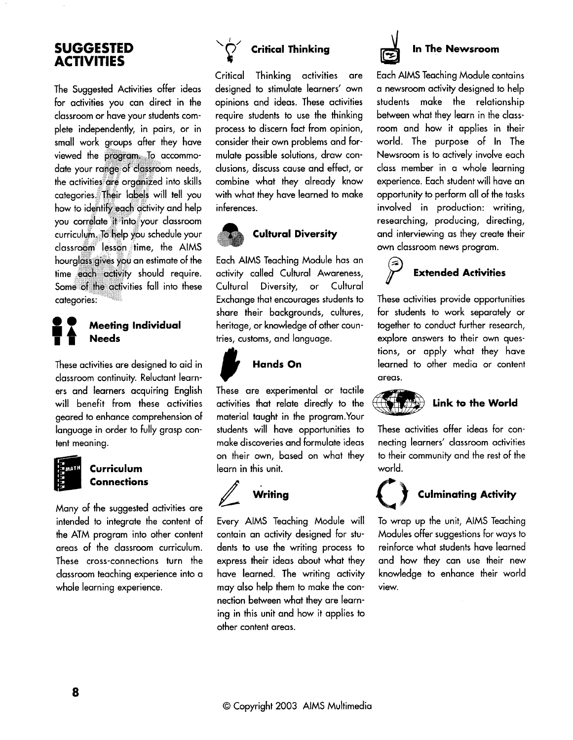## **SUGGESTED ACTIVITIES**

The Suggested Activities offer ideas for activities you can direct in the classroom or have your students complete independently, in pairs, or in small work groups after they have viewed the program. To accommodate your range of classroom needs, the activities are organized into skills categories. Their labels will tell you how to identify each activity and help you correlate it into your classroom curriculum. To help you schedule your classroom lesson time, the AIMS **Mathematical Some of the activity should requality**<br> **Meeting Individual Reads Allen Some of Meeting Individual Reads** ties fall into these

These activities are designed to aid in classroom continuity. Reluctant learners and learners acquiring English will benefit from these activities geared to enhance comprehension of language in order to fully grasp content meaning.

## Curriculum **Connections**

Many of the suggested activities are intended to integrate the content of the ATM program into other content areas of the classroom curriculum. These cross-connections turn the classroom teaching experience into a whole learning experience.



## **Critical Thinking**

Critical Thinking activities are designed to stimulate learners' own opinions and ideas. These activities require students to use the thinking process to discern fact from opinion, consider their own problems and formulate possible solutions, draw conclusions, discuss cause and effect, or combine what they already know with what they have learned to make inferences.



## **Cultural Diversity**

Each AIMS Teaching Module has an activity called Cultural Awareness, Cultural Diversity, or Cultural Exchange that encourages students to share their backgrounds, cultures, heritage, or knowledge of other countries, customs, and language.



*0* **Hands On**  These are experimental or tactile activities that relate directly to the material taught in the program.Your students will have opportunities to make discoveries and formulate ideas on their own, based on what they learn in this unit.



Every AlMS Teaching Module will

contain an activity designed for students to use the writing process to express their ideas about what they have learned. The writing activity may also help them to make the connection between what they are learning in this unit and how it applies to other content areas.



Each AlMS Teaching Module contains a newsroom activity designed to help students make the relationship between what they learn in the classroom and how it applies in their world. The purpose of In The Newsroom is to actively involve each class member in a whole learning experience. Each student will have an opportunity to perform all of the tasks involved in production: writing, researching, producing, directing, and interviewing as they create their own classroom news program.



These activities provide opportunities for students to work separately or together to conduct further research, explore answers to their own questions, or apply what they have learned to other media or content areas.



These activities offer ideas for connecting learners' classroom activities to their community and the rest of the world.



## **Culminating Activity**

To wrap up the unit, AlMS Teaching Modules offer suggestions for ways to reinforce what students have learned and how they can use their new knowledge to enhance their world view.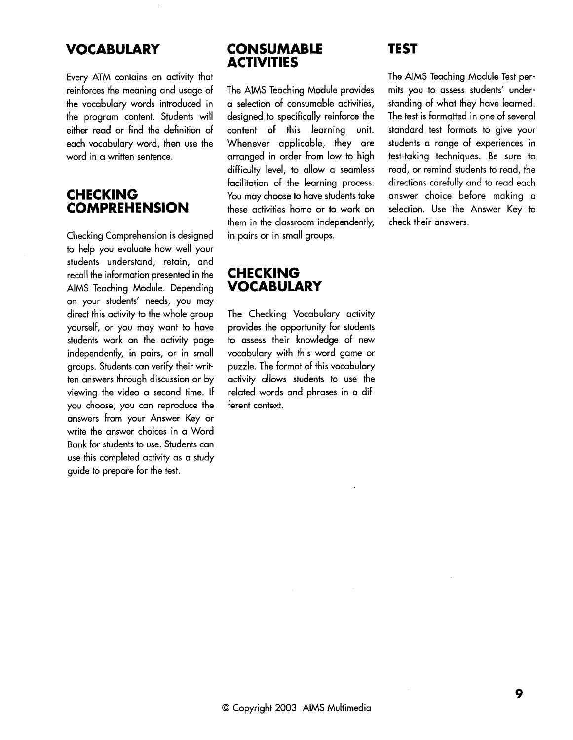## **VOCABULARY**

Every ATM contains an activity that reinforces the meaning and usage of the vocabulary words introduced in the program content. Students will either read or find the definition of each vocabulary word, then use the word in a written sentence.

## **CHECKING COMPREHENSION**

Checking Comprehension is designed to help you evaluate how well your students understand, retain, and recall the information presented in the AlMS Teaching Module. Depending on your students' needs, you may direct this activity to the whole group yourself, or you may want to have students work on the activity page independently, in pairs, or in small groups. Students can verify their written answers through discussion or by viewing the video a second time. If you choose, you can reproduce the answers from your Answer Key or write the answer choices in a Word Bank for students to use. Students can use this completed activity as a study guide to prepare for the test.

## **CONSUMABLE ACTIVITIES**

The AlMS Teaching Module provides a selection of consumable activities, designed to specifically reinforce the content of this learning unit. Whenever applicable, they are arranged in order from low to high difficulty level, to allow a seamless facilitation of the learning process. You may choose to have students take these activities home or to work on them in the classroom independently, in pairs or in small groups.

## **CHECKING VOCABULARY**

The Checking Vocabulary activity provides the opportunity for students to assess their knowledge of new vocabulary with this word game or puzzle. The format of this vocabulary activity allows students to use the related words and phrases in a different context.

## **TEST**

The AlMS Teaching Module Test permits you to assess students' understanding of what they have learned. The test is formatted in one of several standard test formats to give your students a range of experiences in test-taking techniques. Be sure to read, or remind students to read, the directions carefully and to read each answer choice before making a selection. Use the Answer Key to check their answers.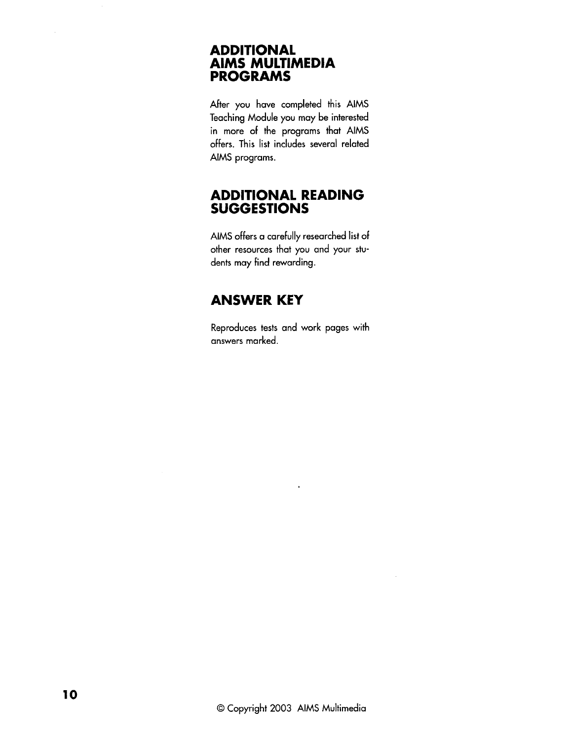## **ADDITIONAL AlMS MULTIMEDIA PROGRAMS**

After you have completed this AlMS Teaching Module you may be interested in more of the programs that AlMS offers. This list includes several related AlMS programs.

## **ADDITIONAL READING SUGGESTIONS**

AlMS offers a carefully researched list of other resources that you and your students may find rewarding.

## **ANSWER KEY**

Reproduces tests and work pages with answers marked.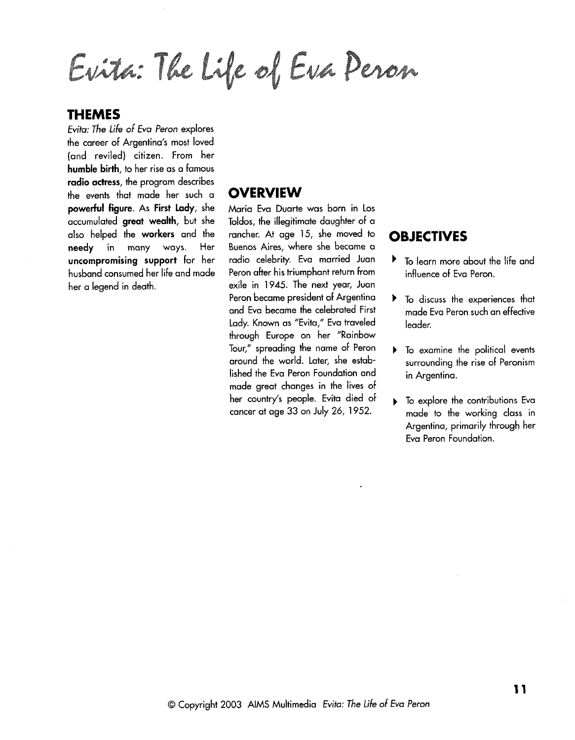Evita: The Life of Eua Peron

## **THEMES**

Evita: The life of Eva Peron explores the career of Argentina's most loved (and reviled) citizen. From her humble birth, to her rise as a famous radio actress, the program describes the events that made her such a powerful figure. As First Lady, she accumulated great wealth, but she also helped the workers and the needy in many ways. Her uncompromising support for her husband consumed her life and made her a legend in death.

## **OVERVIEW**

Maria Eva Duarte was born in Los Toldos, the illegitimate daughter of a rancher. At age 15, she moved to Buenos Aires, where she became a radio celebrity. Eva married Juan Peron after his triumphant return from exile in 1945. The next year, Juan Peron became president of Argentina and Eva became the celebrated First Lady. Known as "Evita," Eva traveled through Europe on her "Rainbow Tour," spreading the name of Peron around the world. Later, she established the Eva Peron Foundation and made great changes in the lives of her country's people. Evita died of cancer at age 33 on July 26, 1952.

## **OBJECTIVES**

- To learn more about the life and Þ. influence of Eva Peron.
- **b** To discuss the experiences that made Eva Peron such an effective leader.
- **b** To examine the political events surrounding the rise of Peronism in Argentina.
- **I** To explore the contributions Eva made to the working class in Argentina, primarily through her Eva Peron Foundation.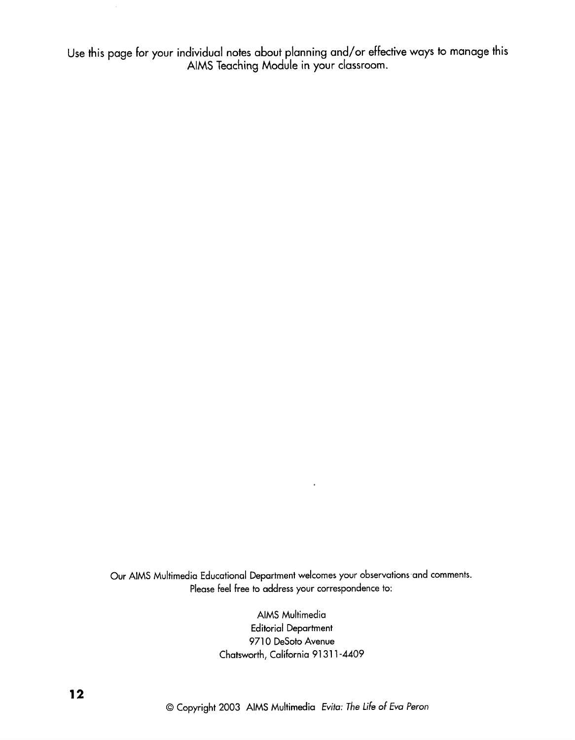Use this page for your individual notes about planning and/or effective ways to manage this AlMS Teaching Module in your classroom.

Our AlMS Multimedia Educational Department welcomes your observations-and comments. Please feel free to address your correspondence to:

 $\ddot{\phantom{a}}$ 

AlMS Multimedia Editorial Department 9710 DeSoto Avenue Chatsworth, California 91311-4409

O Copyright 2003 AlMS Multimedia Evita: The life of Eva Peron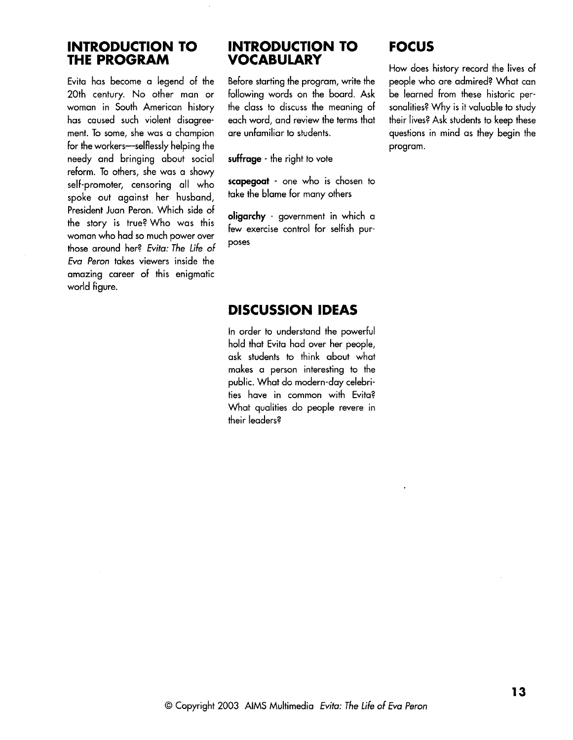## **INTRODUCTION TO THE PROGRAM**

Evita has become a legend of the 20th century. No other man or woman in South American history has caused such violent disagreement. To some, she was a champion for the workers-selflessly helping the needy and bringing about social reform. To others, she was a showy self-promoter, censoring all who spoke out against her husband, President Juan Peron. Which side of the story is true? Who was this woman who had so much power over those around her? Evita: The Life of Eva Peron takes viewers inside the amazing career of this enigmatic world figure.

## **INTRODUCTION TO VOCABULARY**

Before starting the program, write the following words on the board. Ask the class to discuss the meaning of each word, and review the terms that are unfamiliar to students.

**suffrage** - the right to vote

**scapegoat** - one who is chosen to take the blame for many others

**oligarchy** - government in which a few exercise control for selfish purposes

## **FOCUS**

How does history record the lives of people who are admired? What can be learned from these historic personalities? Why is it valuable to study their lives? Ask students to keep these questions in mind as they begin the program.

## **DISCUSSION IDEAS**

In order to understand the powerful hold that Evita had over her people, ask students to think about what makes a person interesting to the public. What do modern-day celebrities have in common with Evita? What qualities do people revere in their leaders?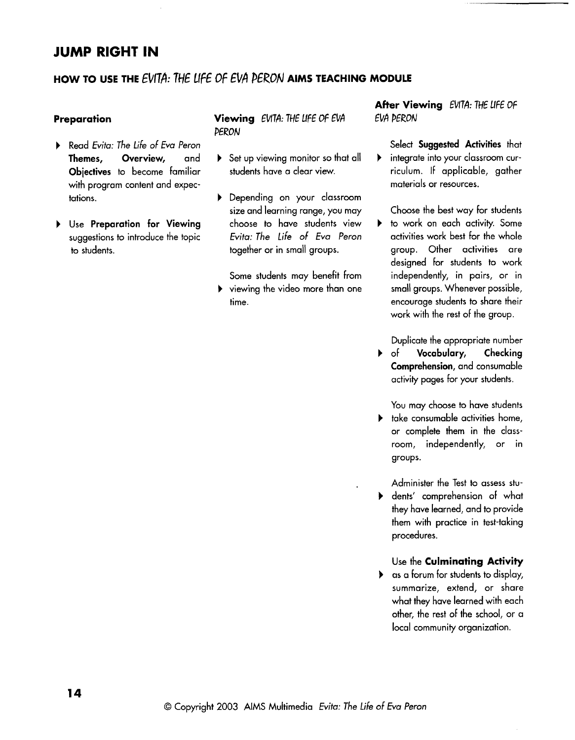## **JUMP RIGHT IN**

## HOW TO USE THE EVITA: THE LIFE OF EVA PERON AIMS TEACHING MODULE

#### **Preparation**

- **b** Read Evita: The life of Eva Peron **Themes, Overview,** and **Objectives** to become familiar with program content and expectations.
- **b** Use **Preparation for Viewing**  suggestions to introduce the topic to students.

## **Viewing** EWTA: THE LIFE Of EVA **PERON**

- **b** Set up viewing monitor so that all students have a clear view.
- **b** Depending on your classroom size and learning range, you may choose to have students view Evita: The life of Eva Peron together or in small groups.

Some students may benefit from **b** viewing the video more than one time.

**After Viewing** EWTA: THE llFE OF EVA PERON

Select **Suggested Activities** that **b** integrate into your classroom curriculum. If applicable, gather materials or resources.

Choose the best way for students

**b** to work on each activity. Some activities work best for the whole group. Other activities are designed for students to work independently, in pairs, or in small groups. Whenever possible, encourage students to share their work with the rest of the group.

Duplicate the appropriate number

**b** of **Vocabulary, Checking Comprehension,** and consumable activity pages for your students.

You may choose to have students

- **b** take consumable activities home, or complete them in the classroom, independently, or in groups.
- Administer the Test to assess stub dents' comprehension of what they have learned, and to provide them with practice in test-taking procedures.

#### Use the **Culminating Activity**

**b** as a forum for students to display, summarize, extend, or share what they have learned with each other, the rest of the school, or a local community organization.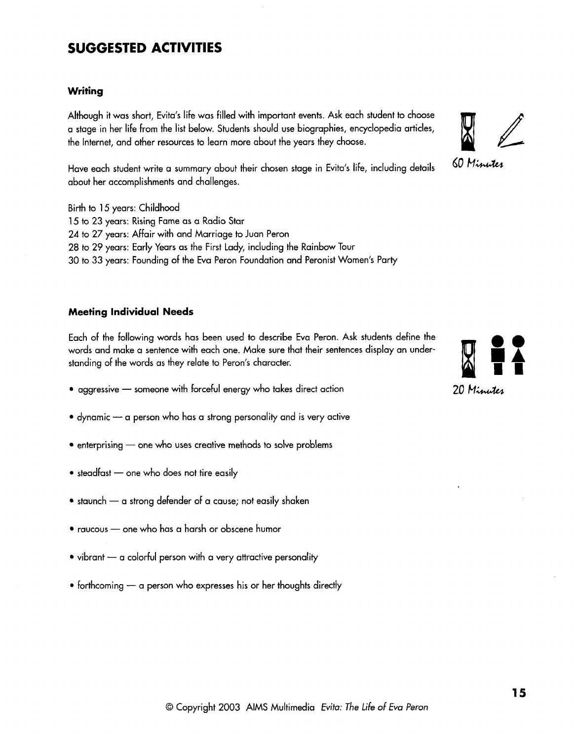## **SUGGESTED ACTIVITIES**

#### **Writing**

Although it was short, Evita's life was filled with important events. Ask each student to choose a stage in her life from the list below. Students should use biographies, encyclopedia articles, the Internet, and other resources to learn more about the years they choose.<br>However, the student write a currence should their chosen stars in Fritz's life, including details 60 Minutes

Have each student write a summary about their chosen stage in Evita's life, including details about her accomplishments and challenges.

Birth to 15 years: Childhood 15 to 23 years: Rising Fame as a Radio Star 24 to 27 years: Affair with and Marriage to Juan Peron 28 to 29 years: Early Years as the First Lady, including the Rainbow Tour 30 to 33 years: Founding of the Eva Peron Foundation and Peronist Women's Party

#### **Meeting Individual Needs**

Each of the following words has been used to describe Eva Peron. Ask students define the words and make a sentence with each one. Make sure that their sentences display an under-<br>standing of the words as they relate to Per words and make a sentence with each one. Make sure that their sentences display an understanding of the words as they relate to Peron's character.<br>
• aggressive — someone with forceful energy who takes direct action 20 Minutes

- 
- $\bullet$  dynamic  $\leftarrow$  a person who has a strong personality and is very active
- $\bullet$  enterprising  $\multimap$  one who uses creative methods to solve problems
- $\bullet$  steadfast  $-$  one who does not tire easily
- $\bullet$  staunch  $\multimap$  a strong defender of a cause; not easily shaken
- raucous one who has a harsh or obscene humor
- $\bullet$  vibrant  $\leftarrow$  a colorful person with a very attractive personality
- $\bullet$  forthcoming  $\leftarrow$  a person who expresses his or her thoughts directly



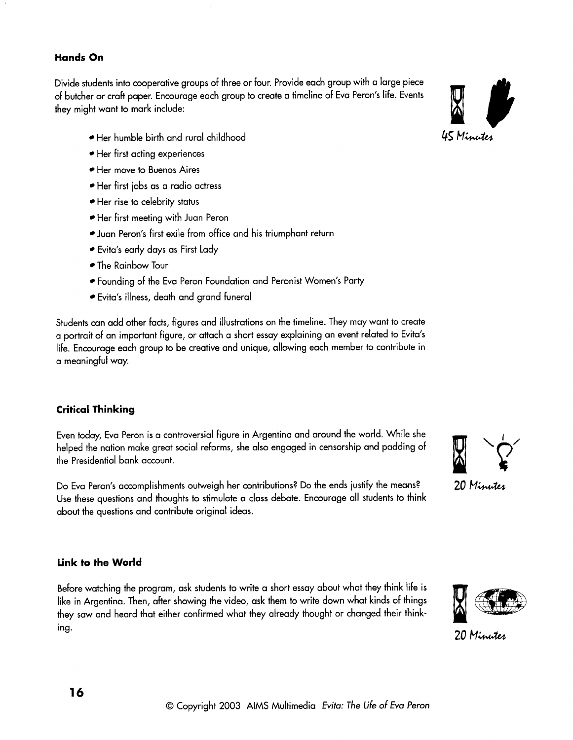#### **Hands On**

Divide students into cooperative groups of three or four. Provide each group with a large piece of butcher or craft paper. Encourage each group to create a timeline of Eva Peron's life. Events they might want to mark include:

- Her humble birth and rural childhood **45** *Minutes*
- Her first acting experiences
- Her move to Buenos Aires
- Her first jobs as a radio actress
- Her rise to celebrity status
- Her first meeting with Juan Peron
- Juan Peron's first exile from office and his triumphant return
- Evita's early days as First Lady
- The Rainbow Tour
- Founding of the Eva Peron Foundation and Peronist Women's Party
- Evita's illness, death and grand funeral

Students can add other facts, figures and illustrations on the timeline. They may want to create a portrait of an important figure, or attach a short essay explaining an event related to Evita's life. Encourage each group to be creative and unique, allowing each member to contribute in a meaningful way.

## **Critical Thinking**

Even today, Eva Peron is a controversial figure in Argentina and around the world. While she helped the nation make great social reforms, she also engaged in censorship and padding of the Presidential bank account.

Do Eva Peron's accomplishments outweigh her contributions? Do the ends justify the means? 20 Minutes Use these questions and thoughts to stimulate a class debate. Encourage all students to think about the questions and contribute original ideas.

### **Link to the World**

Before watching the program, ask students to write a short essay about what they think life is like in Argentina. Then, after showing the video, ask them to write down what kinds of things they saw and heard that either confirmed what they already thought or changed their think-<br>ing. 20 M





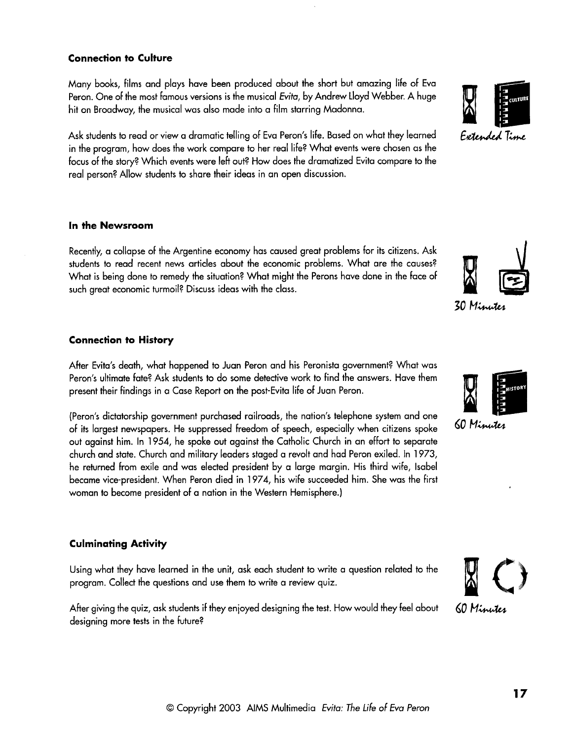#### **Connection to Culture**

Many books, films and plays have been produced about the short but amazing life of Eva Peron. One of the most famous versions is the musical Evita, by Andrew Lloyd Webber. A huge hit on Broadway, the musical was also made into a film starring Madonna.

in the program, how does the work compare to her real life? What events were chosen as the Ask students to read or view a dramatic telling of Eva Peron's life. Based on what they learned Extended Time focus of the story? Which events were left out? How does the dramatized Evita compare to the real person? Allow students to share their ideas in an open discussion.

#### **In the Newsroom**

Recently, a collapse of the Argentine economy has caused great problems for its citizens. Ask students to read recent news articles about the economic problems. What are the causes? What is being done to remedy the situation? What might the Perons have done in the face of such areat economic turmoil? Discuss ideas with the class.

#### **Connection to History**

After Evita's death, what happened to Juan Peron and his Peronista government? What was Peron's ultimate fate? Ask students to do some detective work to find the answers. Have them present their findings in a Case Report on the post-Evita life of Juan Peron.

(Peron's dictatorship government purchased railroads, the nation's telephone system and one of its largest newspapers. He suppressed freedom of speech, especially when citizens spoke **60 Minutes** out against him. In 1954, he spoke out against the Catholic Church in an effort to separate church and state. Church and military leaders staged a revolt and had Peron exiled. In 1973, he returned from exile and was elected president by a large margin. His third wife, Isabel became vice-president. When Peron died in 1974, his wife succeeded him. She was the first woman to become president of a nation in the Western Hemisphere.)

#### **Culminating Activity**

Using what they have learned in the unit, ask each student to write a question related to the program. Collect the questions and use them to write a review quiz.

After giving the quiz, ask students if they enjoyed designing the test. How would they feel about **60 Minutes** designing more tests in the future?

O Copyright 2003 AIMS Multimedia Evita: The Life of Eva Peron







30 Minutes

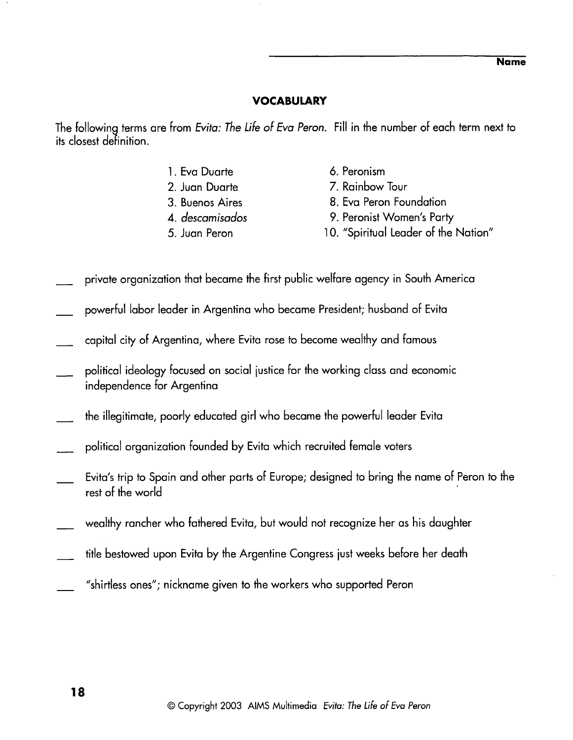## **VOCABULARY**

The following terms are from Evita: The Life of Eva Peron. Fill in the number of each term next to its closest definition.

- 1. Eva Duarte
- 2. Juan Duarte
- 3. Buenos Aires
- **4.** descamisados
- **5.** Juan Peron
- 6. Peronism
- 7. Rainbow Tour
- 8. Eva Peron Foundation
- 9. Peronist Women's Party
- 10. "Spiritual Leader of the Nation"
- private organization that became the first public welfare agency in South America
- powerful labor leader in Argentina who became President; husband of Evita
- capital city of Argentina, where Evita rose to become wealthy and famous
- political ideology focused on social iustice for the working class and economic independence for Argentina
- the illegitimate, poorly educated girl who became the powerful leader Evita
- political organization founded by Evita which recruited female voters
- Evita's trip to Spain and other parts of Europe; designed to bring the name of Peron to the rest of the world
- wealthy rancher who fathered Evita, but would not recognize her as his daughter
- title bestowed upon Evita by the Argentine Congress just weeks before her death
- "shirtless ones"; nickname given to the workers who supported Peron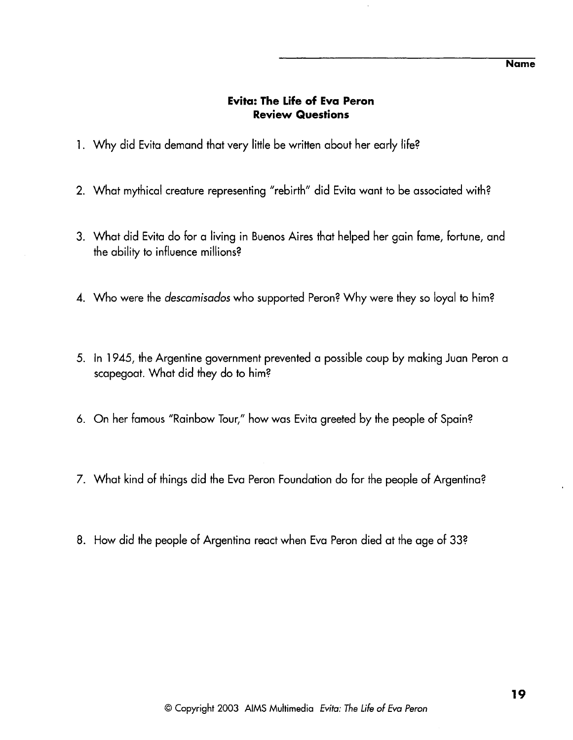## **Evita: The Life of Eva Peron Review Questions**

- 1. Why did Evita demand that very little be written about her early life?
- 2. What mythical creature representing "rebirth" did Evita want to be associated with?
- 3. What did Evita do for a living in Buenos Aires that helped her gain fame, fortune, and the ability to influence millions?
- **4.** Who were the descamisados who supported Peron? Why were they so loyal to him?
- 5. In 1945, the Argentine government prevented a possible coup by making Juan Peron a scapegoat. What did they do to him?
- 6. On her famous "Rainbow Tour," how was Evita greeted by the people of Spain?
- 7. What kind of things did the Eva Peron Foundation do for the people of Argentina?
- 8. How did the people of Argentina react when Eva Peron died at the age of 332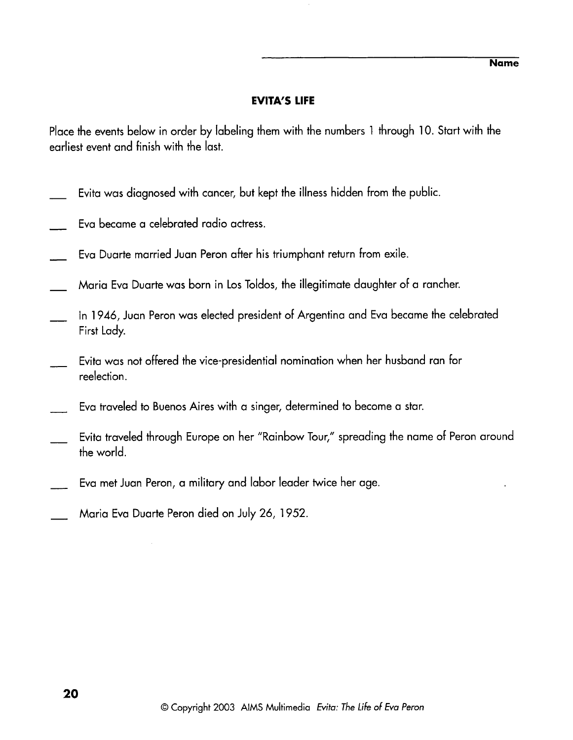## **EVITA'S LIFE**

Place the events below in order by labeling them with the numbers 1 through 10. Start with the earliest event and finish with the last.

- Evita was diagnosed with cancer, but kept the illness hidden from the public.
- Eva became a celebrated radio actress.
- Eva Duarte married Juan Peron after his triumphant return from exile.
- Maria Eva Duarte was born in Los Toldos, the illegitimate daughter of a rancher.
- In 1946, Juan Peron was elected president of Argentina and Eva became the celebrated First Lady.
- Evita was not offered the vice-presidential nomination when her husband ran for reelection.
- Eva traveled to Buenos Aires with a singer, determined to become a star.
- Evita traveled through Europe on her "Rainbow Tour," spreading the name of Peron around the world.
- Eva met Juan Peron, a military and labor leader twice her age.
- Maria Eva Duarte Peron died on July 26, 1952.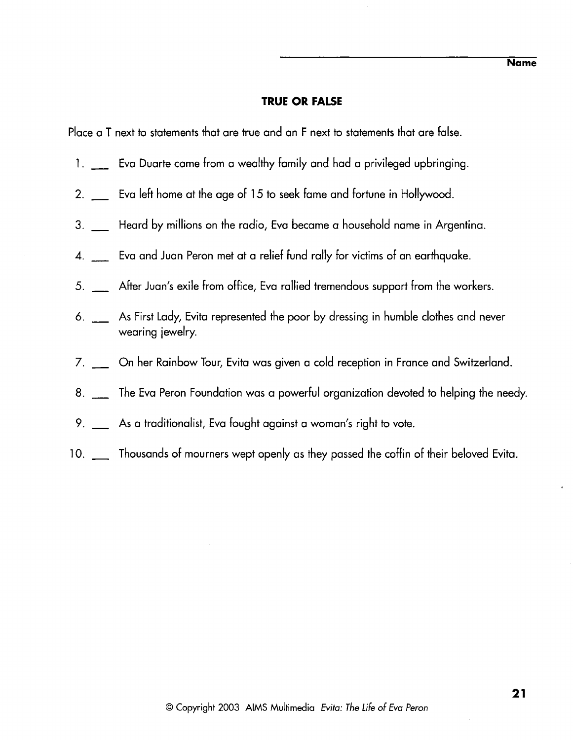### **TRUE OR FALSE**

Place a T next to statements that are true and an F next to statements that are false.

- nd ace a T next to statements that are true and an F next to statements that are false.<br>1. \_\_\_\_ Eva Duarte came from a wealthy family and had a privileged upbringing.
- 2. <sub>----</sub> Eva Duarte came from a wealthy family and had a privileged upbringin<br>2. <sub>----</sub> Eva left home at the age of 15 to seek fame and fortune in Hollywood.
- 2. \_\_\_ Eva left home at the age of 1*5* to seek fame and fortune in Hollywood.<br>3. Heard by millions on the radio, Eva became a household name in Argentina.
- **4.**  Eva and Juan Peron met at a relief fund rally for victims of an earthquake.
- 5. **4.** After Juan's exile from office, Eva rallied tremendous support from the workers.
- *6.*  As First Lady, Evita represented the poor by dressing in humble clothes and never wearing jewelry
- 7- On her Rainbow Tour, Evita was given a cold reception in France and Switzerland.
- 8.  $\Box$  The Eva Peron Foundation was a powerful organization devoted to helping the needy.
- 9.  $\Box$  As a traditionalist, Eva fought against a woman's right to vote.
- 10. \_\_ Thousands of mourners wept openly as they passed the coffin of their beloved Evita.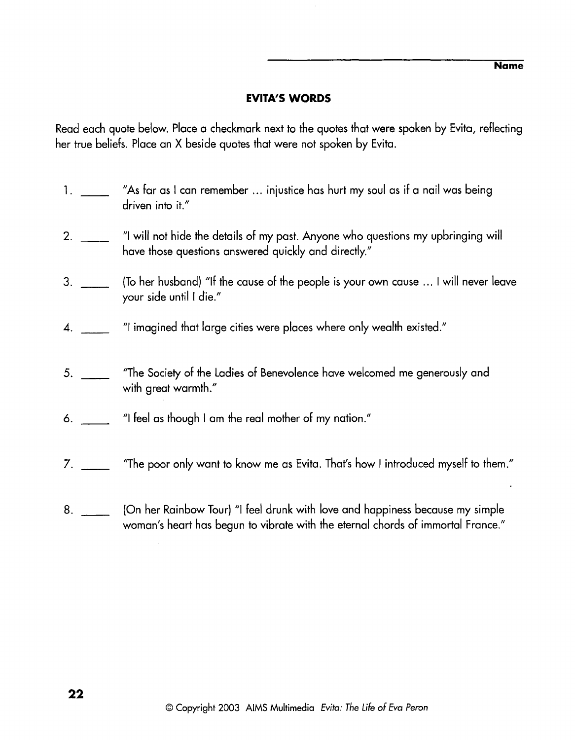**Name** 

## **EVITA'S WORDS**

Read each quote below. Place a checkmark next to the quotes that were spoken by Evita, reflecting her true beliefs. Place an X beside quotes that were not spoken by Evita.

- "As far as I can remember ... injustice has hurt my soul as if a nail was being  $1.$   $\qquad$ driven into it."
- $2<sub>1</sub>$ "I will not hide the details of my past. Anyone who questions my upbringing will have those questions answered quickly and directly."
- (To her husband) "If the cause of the people is your own cause . .. I will never leave  $3.$ your side until I die."
- "I imagined that large cities were places where only wealth existed."  $\boldsymbol{\varLambda}$ .
- "The Society of the Ladies of Benevolence have welcomed me generously and 5. with great warmth."
- "I feel as though I am the real mother of my nation." 6.
- ''The poor only want to know me as Evita. That's how I introduced myself to them."  $7.$
- (On her Rainbow Tour) "I feel drunk with love and happiness because my simple  $8.$ woman's heart has begun to vibrate with the eternal chords of immortal France."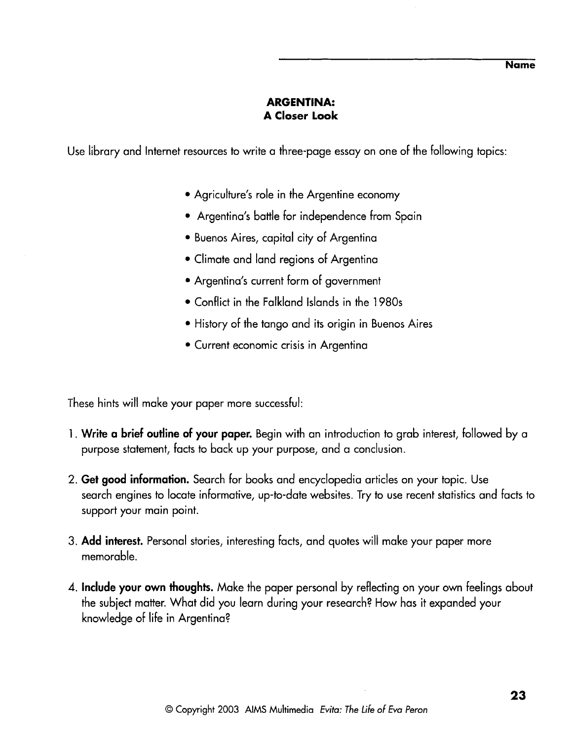## **ARGENTINA: A Closer Look**

Use library and Internet resources to write a three-page essay on one of the following topics:

- Agriculture's role in the Argentine economy
- Argentina's battle for independence from Spain
- Buenos Aires, capital city of Argentina
- Climate and land regions of Argentina
- Argentina's current form of government
- Conflict in the Falkland Islands in the 1980s
- History of the tango and its origin in Buenos Aires
- Current economic crisis in Argentina

These hints will make your paper more successful:

- 1 . **Write a brief outline of your paper.** Begin with an introduction to grab interest, followed by a purpose statement, facts to back up your purpose, and a conclusion.
- 2. **Get good information.** Search for books and encyclopedia articles on your topic. Use search engines to locate informative, up-to-date websites. Try to use recent statistics and facts to support your main point.
- **3. Add interest.** Personal stories, interesting facts, and quotes will make your paper more memorable.
- **4. Include your own thoughts.** Make the paper personal by reflecting on your own feelings about the subiect matter. What did you learn during your research? How has it expanded your knowledge of life in Argentina?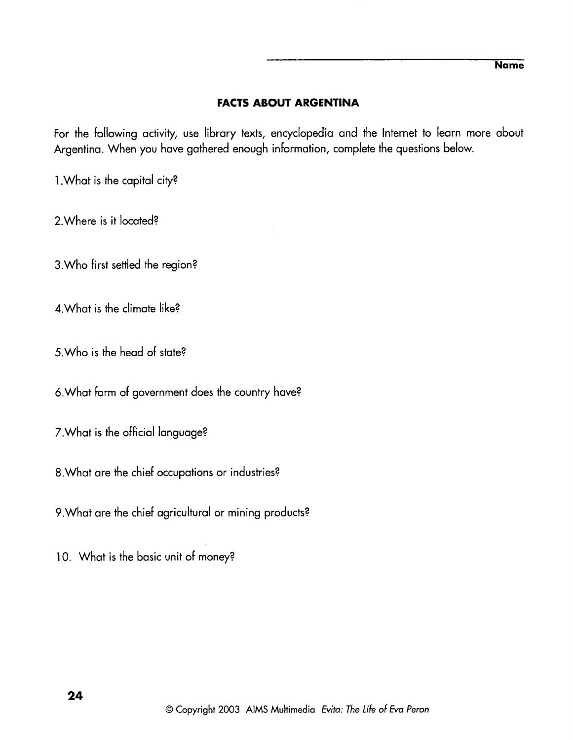## **FACTS ABOUT ARGENTINA**

For the following activity, use library texts, encyclopedia and the Internet to learn more about Argentina. When you have gathered enough information, complete the questions below.

1. What is the capital city?

2.Where is it located?

3. Who first settled the region?

4.What is the climate like?

5.Who is the head of state?

6.What form of government does the country have?

7.What is the official language?

8.What are the chief occupations or industries?

9.What are the chief agricultural or mining products?

10. What is the basic unit of money?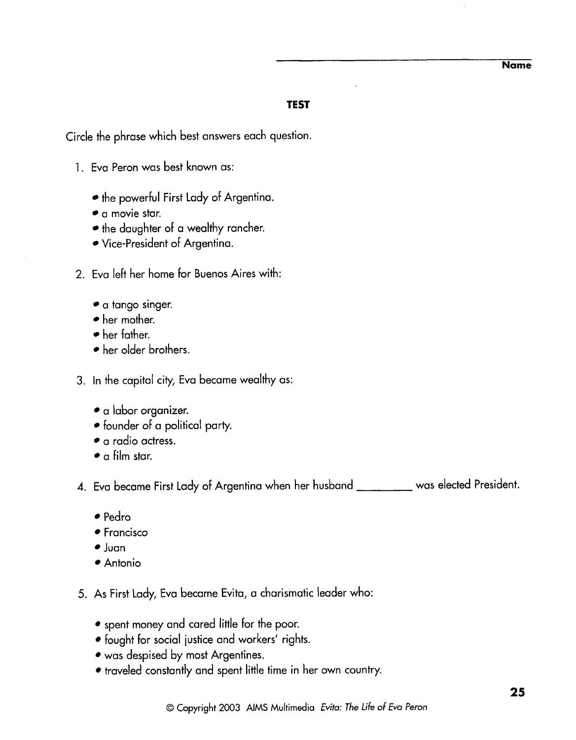**Name** 

## **TEST**

Circle the phrase which best answers each question.

- 1. Eva Peron was best known as:
	- the powerful First Lady of Argentina.
	- a movie star.
	- the daughter of a wealthy rancher.
	- Vice-president of Argentina.
- 2. Eva left her home for Buenos Aires with:
	- a tango singer.
	- her mother.
	- her father.
	- her older brothers.
- 3. In the capital city, Eva became wealthy as:
	- a labor organizer.
	- founder of a political party.
	- a radio actress.
	- a film star.

4. Eva became First Lady of Argentina when her husband was elected President.

- Pedro
- **Francisco**
- $\bullet$  Juan
- Antonio
- 5. As First Lady, Eva became Evita, a charismatic leader who:
	- spent money and cared little for the poor.
	- fought for social iustice and workers' rights.
	- was despised by most Argentines.
	- traveled constantly and spent little time in her own country.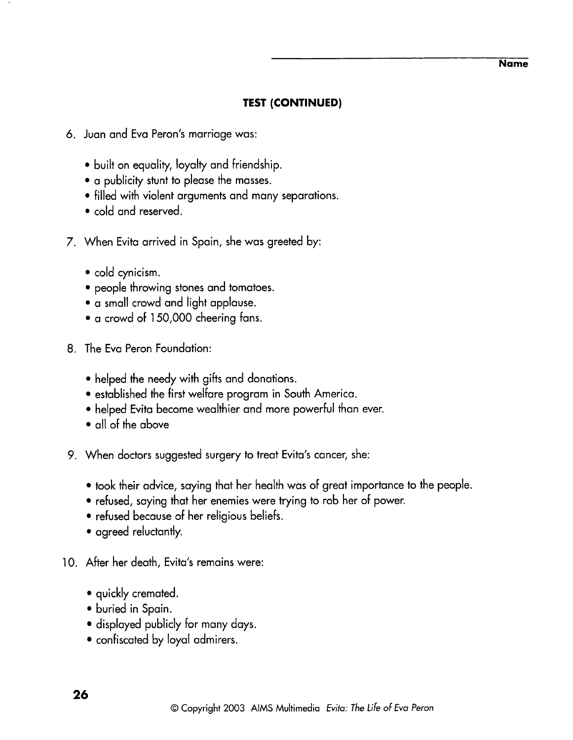#### **Name**

## **TEST (CONTINUED)**

- **6.** Juan and Eva Peron's marriage was:
	- $\bullet$  built on equality, loyalty and friendship.
	- a publicity stunt to please the masses.
	- filled with violent arguments and many separations.
	- cold and reserved.
- 7. When Evita arrived in Spain, she was greeted by:
	- cold cynicism.
	- people throwing stones and tomatoes.
	- a small crowd and light applause.
	- a crowd of 150,000 cheering fans.
- 8. The Eva Peron Foundation:
	- helped the needy with gifts and donations.
	- established the first welfare program in South America.
	- helped Evita become wealthier and more powerful than ever.
	- all of the above
- 9. When doctors suggested surgery to treat Evita's cancer, she:
	- took their advice, saying that her health was of great importance to the people.
	- refused, saying that her enemies were trying to rob her of power.
	- refused because of her religious beliefs.
	- agreed reluctantly.
- 10. After her death, Evita's remains were:
	- quickly cremated.
	- buried in Spain.
	- displayed publicly for many days.
	- confiscated by loyal admirers.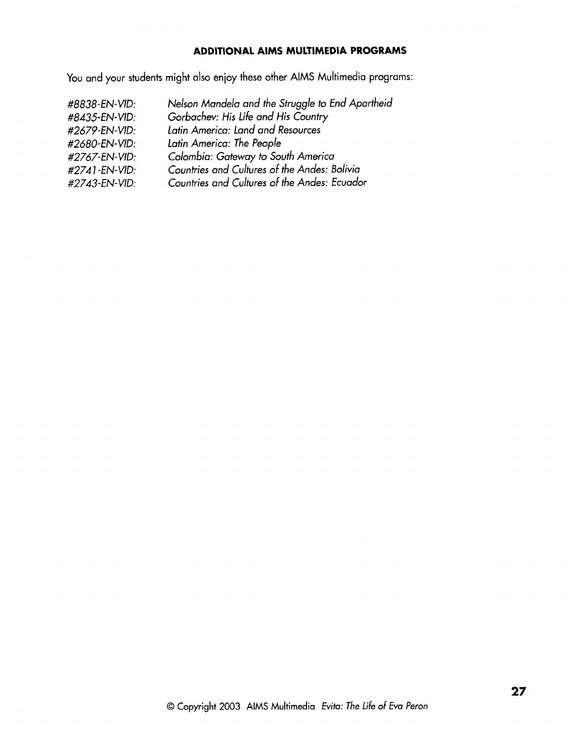## **ADDITIONAL AlMS MULTIMEDIA PROGRAMS**

You and your students might also enjoy these other AlMS Multimedia programs:

| #8838-EN-VID: | Nelson Mandela and the Struggle to End Apartheid |
|---------------|--------------------------------------------------|
| #8435-EN-VID: | Gorbachev: His Life and His Country              |
| #2679-EN-VID: | Latin America: Land and Resources                |
| #2680-EN-VID: | Latin America: The People                        |
| #2767-EN-VID: | Colombia: Gateway to South America               |
| #2741-EN-VID: | Countries and Cultures of the Andes: Bolivia     |
| #2743-EN-VID: | Countries and Cultures of the Andes: Ecuador     |

 $\ddot{\phantom{a}}$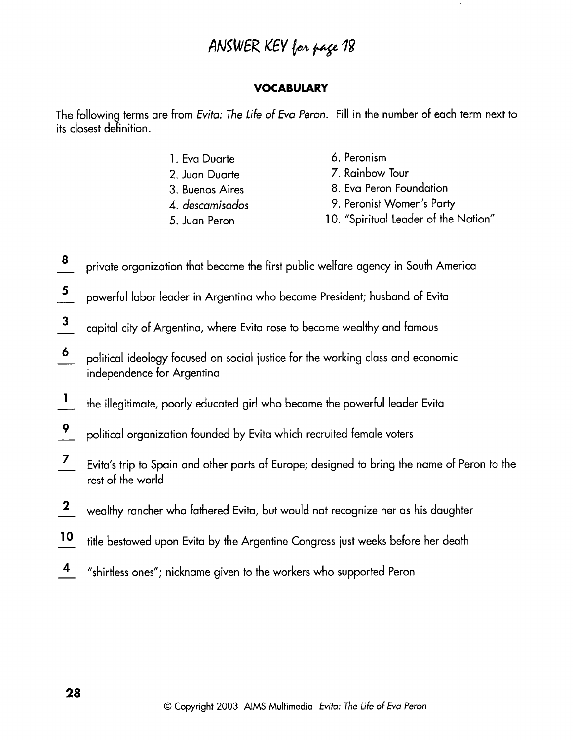# ANSWER KEY for page 18

## **VOCABULARY**

The following terms are from Evita: The Life of Eva Peron. Fill in the number of each term next to its closest definition.

- 1. Eva Duarte
- 2. Juan Duarte
- 3. Buenos Aires
- 4. descamisados
- 5. Juan Peron
- 6. Peronism
- 7. Rainbow Tour
- 8. Eva Peron Foundation
- 9. Peronist Women's Party
- 10. "Spiritual Leader of the Nation"
- 8 private organization that became the first public welfare agency in South America
- $5\overline{)}$ powerful labor leader in Argentina who became President; husband of Evita
- $\mathbf{3}$ capital city of Argentina, where Evita rose to become wealthy and famous
- $\boldsymbol{6}$ political ideology focused on social iustice for the working class and economic independence for Argentina
- $\vert$ the illegitimate, poorly educated girl who became the powerful leader Evita
- $\overline{9}$ political organization founded by Evita which recruited female voters
- $\overline{z}$ Evita's trip to Spain and other parts of Europe; designed to bring the name of Peron to the rest of the world
- $\mathbf{2}$ wealthy rancher who fathered Evita, but would not recognize her as his daughter
- $10$ title bestowed upon Evita by the Argentine Congress just weeks before her death
- $\overline{\mathbf{4}}$ "shirtless ones"; nickname given to the workers who supported Peron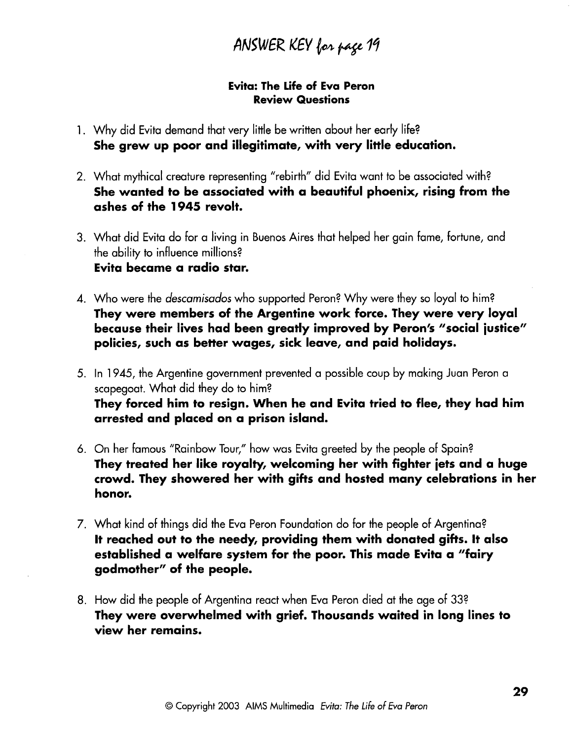ANSWER KEY for page 19

## Evita: The Life of Eva Peron Review Questions

- 1. Why did Evita demand that very little be written about her early life? She grew up poor and illegitimate, with very little education.
- 2. What mythical creature representing "rebirth" did Evita want to be associated with? She wanted to be associated with a beautiful phoenix, rising from the ashes of the 1945 revolt.
- 3. What did Evita do for a living in Buenos Aires that helped her gain fame, fortune, and the ability to influence millions? Evita became a radio star.
- 4. Who were the descamisados who supported Peron? Why were they so loyal to him? They were members of the Argentine work force. They were very loyal because their lives had been greatly improved by Peron's "social justice" policies, such as better wages, sick leave, and paid holidays.
- 5. In 1945, the Argentine government prevented a possible coup by making Juan Peron a scapegoat. What did they do to him? They forced him to resign. When he and Evita tried to flee, they had him arrested and placed on a prison island.
- 6. On her famous "Rainbow Tour," how was Evita greeted by the people of Spain? They treated her like royalty, welcoming her with fighter jets and a huge crowd. They showered her with gifts and hosted many celebrations in her honor.
- 7. What kind of things did the Eva Peron Foundation do for the people of Argentina? It reached out to the needy, providing them with donated gifts. It also established a welfare system for the poor. This made Evita a "fairy godmother" of the people.
- 8. How did the people of Argentina react when Eva Peron died at the age of 332 They were overwhelmed with grief. Thousands waited in long lines to view her remains.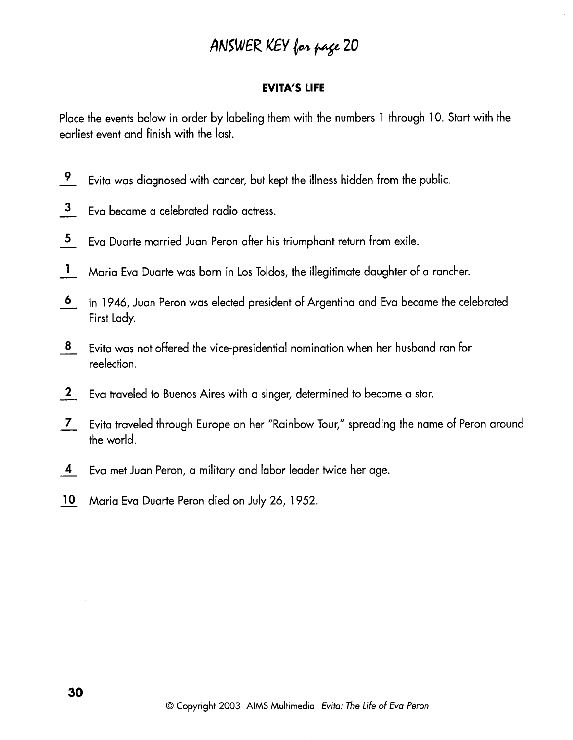# ANSWER KEY for page 20

### **EVITA'S LIFE**

Place the events below in order by labeling them with the numbers 1 through 10. Start with the earliest event and finish with the last.

- $\overline{9}$ Evita was diagnosed with cancer, but kept the illness hidden from the public.
- $\mathbf{3}$ Eva became a celebrated radio actress.
- $\overline{\mathbf{5}}$ Eva Duarte married Juan Peron after his triumphant return from exile.
- $\mathbf{1}$ Maria Eva Duarte was born in Los Toldos, the illegitimate daughter of a rancher.
- $\ddot{\mathbf{6}}$ In 1946, Juan Peron was elected president of Argentina and Eva became the celebrated First Lady.
- 8 Evita was not offered the vice-presidential nomination when her husband ran for reelection.
- $\mathbf{2}$ Eva traveled to Buenos Aires with a singer, determined to become a star.
- Evita traveled through Europe on her "Rainbow Tour," spreading the name of Peron around  $\overline{7}$ the world.
- $\overline{4}$ Eva met Juan Peron, a military and labor leader twice her age.
- Maria Eva Duarte Peron died on July 26, 1952.  $10<sup>°</sup>$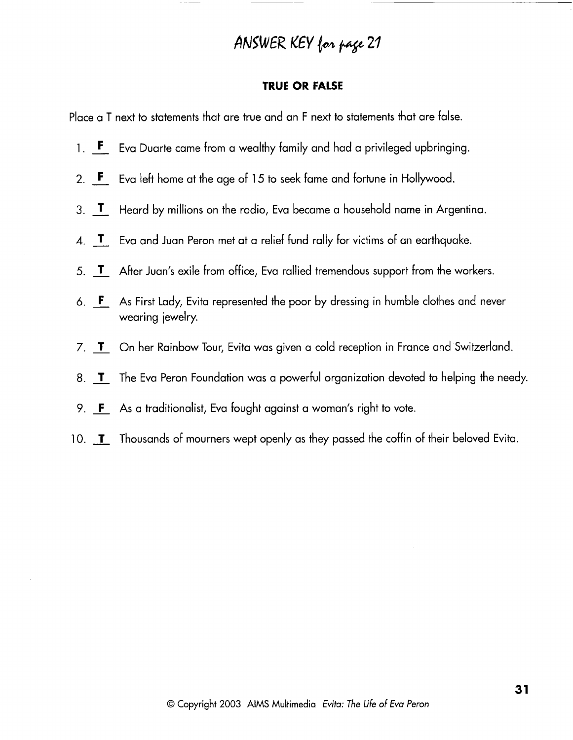# ANSWER KEY for page 21

## **TRUE OR FALSE**

Place a T next to statements that are true and an F next to statements that are false.

- ace a T ne<mark>y</mark><br>1. **F** Ev **F** Eva Duarte came from a wealthy family and had a privileged upbringing.
- 2. Eva left home at the age of **15** to seek fame and fortune in Hollywood.
- 3. **T** Heard by millions on the radio, Eva became a household name in Argentina.
- **4. J-** Eva and Juan Peron met at a relief fund rally for victims of an earthquake.
- 5. T After Juan's exile from office, Eva rallied tremendous support from the workers.
- *6.* As First Lady, Evita represented the poor by dressing in humble clothes and never wearing jewelry.
- 7. T On her Rainbow Tour, Evita was given a cold reception in France and Switzerland.
- 8. **T** The Eva Peron Foundation was a powerful organization devoted to helping the needy.
- 9.  $\mathbf{F}$  As a traditionalist, Eva fought against a woman's right to vote.
- 10. **I** Thousands of mourners wept openly as they passed the coffin of their beloved Evita.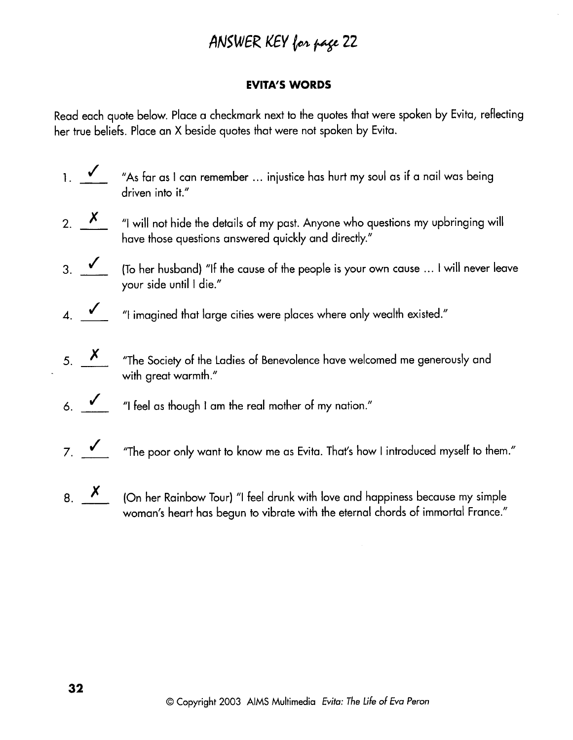# **ANSWER** KEY *b~* py **<sup>22</sup>**

## **EVITA'S WORDS**

Read each quote below. Place a checkmark next to the quotes that were spoken by Evita, reflecting her true beliefs. Place an X beside quotes that were not spoken by Evita.

- 1. The beliefs. Place an X beside quotes that were not spoken by Evita, reflerence beliefs. Place an X beside quotes that were not spoken by Evita.<br>
1. The beliefs. Place an X beside quotes that were not spoken by Evita. driven into it." 2.  $\overline{\phantom{a}}$  "I will not hide the details of my past. Anyone who questions my upbringing will<br>2.  $\overline{\phantom{a}}$  "I will not hide the details of my past. Anyone who questions my upbringing will<br>2.  $\overline{\phantom{a}}$  "I will not hi
- have those questions answered quickly and directly." 3.  $\frac{\cancel{x}}{\cancel{x}}$  (To her husband) "If the cause of the people is your own cause ... I will never leave<br>3.  $\checkmark$  (To her husband) "If the cause of the people is your own cause ... I will never leave
- your side until I die." 3.  $\checkmark$  (To her husband) "If the cause of the people is your own cause ... I will never leave<br>your side until 1 die."<br>4.  $\checkmark$  "I imagined that large cities were places where only wealth existed."
- 
- 5. **X** The Society of the Ladies of Benevolence have welcomed me generously and with great warmth."
- *6.*  "I feel as though I am the real mother of my nation."
- $7.$   $\checkmark$  <sup>"The</sup> poor only want to know me as Evita. That's how I introduced myself to them."
- 8.  $\overline{X}$  (On her Rainbow Tour) "I feel drunk with love and happiness because my simple woman's heart has begun to vibrate with the eternal chords of immortal France."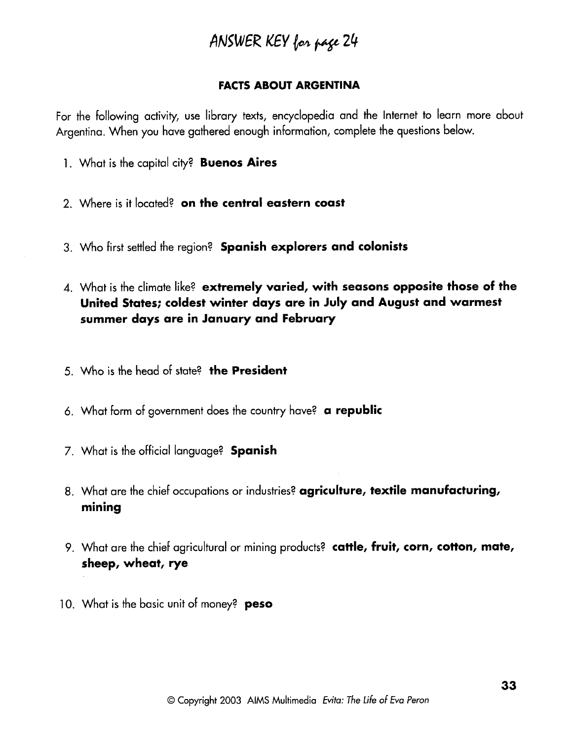# **ANSWER** KEY *bh* **pp** <sup>24</sup>

## FACTS ABOUT ARGENTINA

For the following activity, use library texts, encyclopedia and the Internet to learn more about Argentina. When you have gathered enough information, complete the questions below.

- 1. What is the capital city? Buenos Aires
- 2. Where is it located? on the central eastern coast
- 3. Who first settled the region? Spanish explorers and colonists
- 4. What is the climate like? extremely varied, with seasons opposite those of the United States; coldest winter days are in July and August and warmest summer days are in January and February
- **5.** Who is the head of state? the President
- 6. What form of government does the country have? a republic
- 7. What is the official language? **Spanish**
- 8. What are the chief occupations or industries? agriculture, textile manufacturing, mining
- 9. What are the chief agricultural or mining products? cattle, fruit, corn, cotton, mate, sheep, wheat, rye
- 10. What is the basic unit of money? **peso**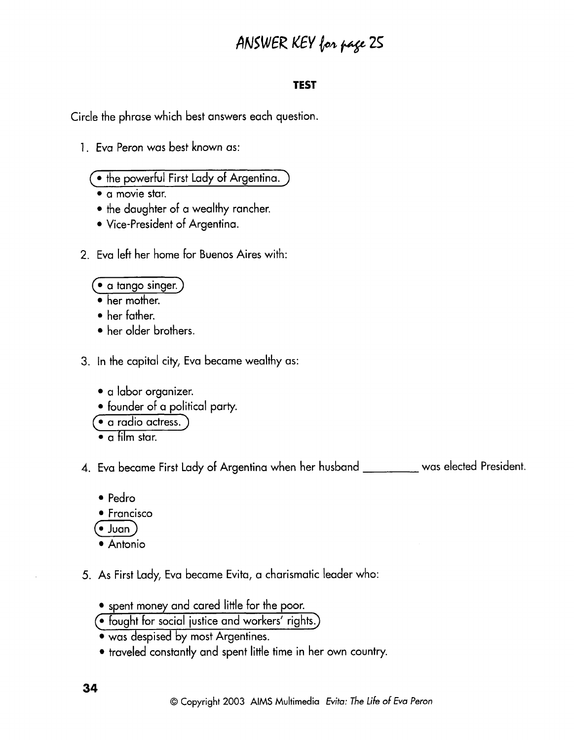# **ANSWER KEY** for page 25

## **TEST**

Circle the phrase which best answers each question.

- 1. Eva Peron was best known as:
	- $\bullet$  the powerful First Lady of Argentina.
	- **a** movie star.
	- the daughter of a wealthy rancher.
	- Vice-president of Argentina.
- 2. Eva left her home for Buenos Aires with:

## $( \bullet$  a tango singer.]

- her mother.
- her father.
- her older brothers.
- 3. In the capital city, Eva became wealthy as:
	- a labor organizer.
	- founder of a political party.

· a radio actress.

 $\bullet$  a film star.

4. Eva became First Lady of Argentina when her husband was elected President.

- Pedro
- Francisco  $\bullet$  Francisco<br>  $\bullet$  Juan
- 
- Antonio
- 5. As First Lady, Eva became Evita, a charismatic leader who:
	- spent money and cared little for the poor.
	- $\left(\bullet\right.$  fought for social justice and workers' rights.)
	- was despised by most Argentines.
	- traveled constantly and spent little time in her own country.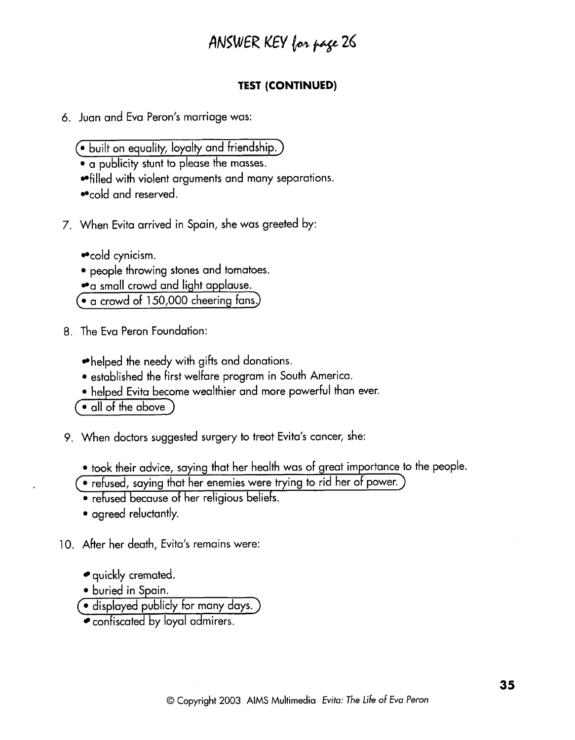# **/!NEWER** KEY **bb pp** *26*

## **TEST (CONTINUED)**

- 6. Juan and Eva Peron's marriage was:
	- *6* built on eaualitv. loyalty and friendship.)
	- a publicity stunt to please the masses.
	- filled with violent arguments and many separations.
	- cold and reserved.
- 7. When Evita arrived in Spain, she was greeted by:

• cold cynicism.

- people throwing stones and tomatoes.
- a small crowd and light applause.
- a crowd of 150,000 cheering fans.)
- 8. The Eva Peron Foundation:
	- $\bullet$  helped the needy with gifts and donations.
	- established the First welfare program in South America.
	- helped Evita become wealthier and more powerful than ever.

 $\bullet$  all of the above

- 9. When doctors suggested surgery to treat Evita's cancer, she:
	- took their advice, saying that her health was of great importance to the people.
	- **(0** refused, saying that her enemies were trying to rid her of power.)
	- refused because of her religious beliefs.
	- agreed reluctantly.
- 10. After her death, Evita's remains were:
	- quickly cremated.
	- buried in Spain.
	- · displayed publicly for many days.
	- confiscated by loyal admirers.